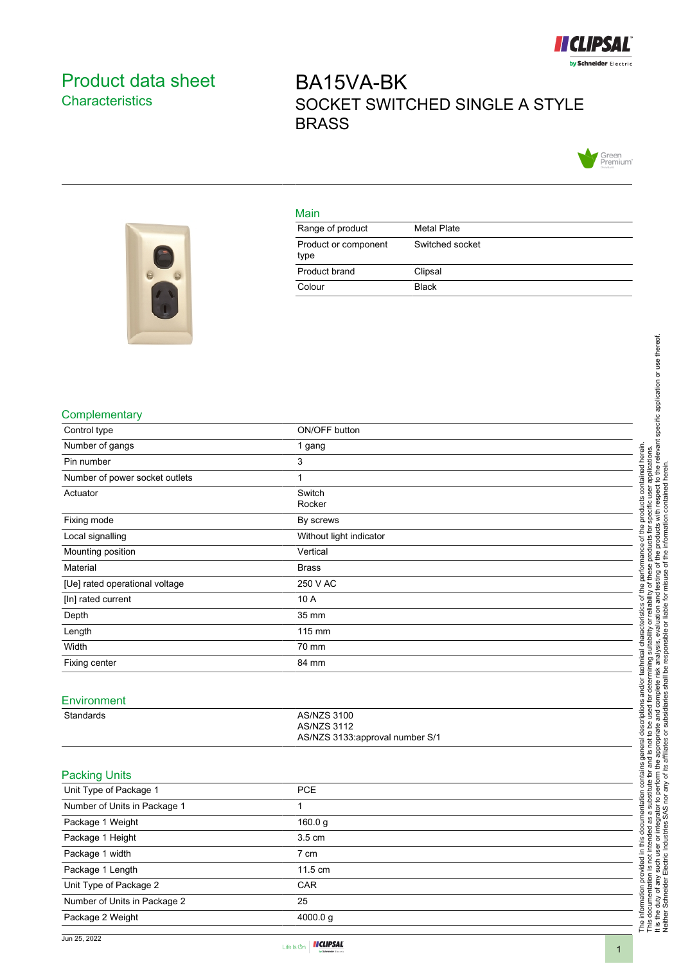

## <span id="page-0-0"></span>Product data sheet **Characteristics**

# BA15VA-BK SOCKET SWITCHED SINGLE A STYLE BRASS



#### Main

| Range of product             | Metal Plate     |
|------------------------------|-----------------|
| Product or component<br>type | Switched socket |
| Product brand                | Clipsal         |
| Colour                       | <b>Black</b>    |



#### **Complementary**

| Complementary                  |                                 |                                                                                                                                                                                                                                      |
|--------------------------------|---------------------------------|--------------------------------------------------------------------------------------------------------------------------------------------------------------------------------------------------------------------------------------|
| Control type                   | ON/OFF button                   | determining suitability or reliability of these products for specific user applications.<br>Interior and the readysis, even utility of the subset of the information of the relevant specific application or use thereof.<br>Interio |
| Number of gangs                | 1 gang                          |                                                                                                                                                                                                                                      |
| Pin number                     | 3                               |                                                                                                                                                                                                                                      |
| Number of power socket outlets | 1                               | contained herein                                                                                                                                                                                                                     |
| Actuator                       | Switch                          |                                                                                                                                                                                                                                      |
|                                | Rocker                          | ucts                                                                                                                                                                                                                                 |
| Fixing mode                    | By screws                       | prod                                                                                                                                                                                                                                 |
| Local signalling               | Without light indicator         | of the                                                                                                                                                                                                                               |
| Mounting position              | Vertical                        | erformance                                                                                                                                                                                                                           |
| Material                       | <b>Brass</b>                    |                                                                                                                                                                                                                                      |
| [Ue] rated operational voltage | 250 V AC                        | the                                                                                                                                                                                                                                  |
| [In] rated current             | 10 A                            | ৳                                                                                                                                                                                                                                    |
| Depth                          | 35 mm                           | teristics                                                                                                                                                                                                                            |
| Length                         | 115 mm                          | ت<br>آ                                                                                                                                                                                                                               |
| Width                          | 70 mm                           | Tai<br>Chai                                                                                                                                                                                                                          |
| Fixing center                  | 84 mm                           | technical                                                                                                                                                                                                                            |
|                                |                                 |                                                                                                                                                                                                                                      |
| Environment                    |                                 | and/or                                                                                                                                                                                                                               |
| Standards                      | AS/NZS 3100                     | e used for determining<br>and complete risk ana<br>subsidiaries<br>descriptions                                                                                                                                                      |
|                                | <b>AS/NZS 3112</b>              |                                                                                                                                                                                                                                      |
|                                | AS/NZS 3133:approval number S/1 |                                                                                                                                                                                                                                      |
|                                |                                 | general                                                                                                                                                                                                                              |
| <b>Packing Units</b>           |                                 | contains                                                                                                                                                                                                                             |
| Unit Type of Package 1         | PCE                             | ss a substitute for and is not to be<br>grator to perform the appropriate a<br>SAS nor any of its affiliates or sul                                                                                                                  |
| Number of Units in Package 1   | 1                               | or integrator to                                                                                                                                                                                                                     |
| Package 1 Weight               | 160.0 g                         | æ                                                                                                                                                                                                                                    |
| Package 1 Height               | 3.5 cm                          | this documentation                                                                                                                                                                                                                   |
| Package 1 width                | $7 \text{ cm}$                  |                                                                                                                                                                                                                                      |
| Package 1 Length               | 11.5 cm                         | The information provided in this docu<br>This documentation is not intended a<br>It is the duty of any such user or integ<br>Neither Schneider Electric Industries                                                                   |
| Unit Type of Package 2         | CAR                             |                                                                                                                                                                                                                                      |
| Number of Units in Package 2   | 25                              |                                                                                                                                                                                                                                      |
| Package 2 Weight               | 4000.0g                         |                                                                                                                                                                                                                                      |
|                                |                                 |                                                                                                                                                                                                                                      |